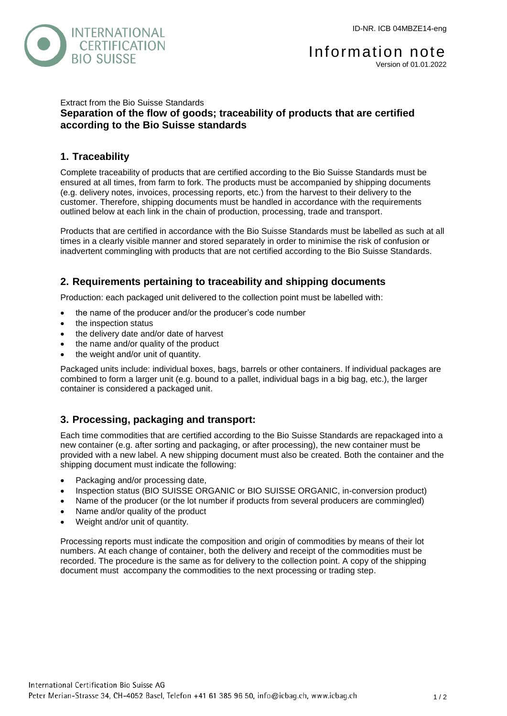

#### Extract from the Bio Suisse Standards **Separation of the flow of goods; traceability of products that are certified according to the Bio Suisse standards**

## **1. Traceability**

Complete traceability of products that are certified according to the Bio Suisse Standards must be ensured at all times, from farm to fork. The products must be accompanied by shipping documents (e.g. delivery notes, invoices, processing reports, etc.) from the harvest to their delivery to the customer. Therefore, shipping documents must be handled in accordance with the requirements outlined below at each link in the chain of production, processing, trade and transport.

Products that are certified in accordance with the Bio Suisse Standards must be labelled as such at all times in a clearly visible manner and stored separately in order to minimise the risk of confusion or inadvertent commingling with products that are not certified according to the Bio Suisse Standards.

## **2. Requirements pertaining to traceability and shipping documents**

Production: each packaged unit delivered to the collection point must be labelled with:

- the name of the producer and/or the producer's code number
- the inspection status
- the delivery date and/or date of harvest
- the name and/or quality of the product
- the weight and/or unit of quantity.

Packaged units include: individual boxes, bags, barrels or other containers. If individual packages are combined to form a larger unit (e.g. bound to a pallet, individual bags in a big bag, etc.), the larger container is considered a packaged unit.

### **3. Processing, packaging and transport:**

Each time commodities that are certified according to the Bio Suisse Standards are repackaged into a new container (e.g. after sorting and packaging, or after processing), the new container must be provided with a new label. A new shipping document must also be created. Both the container and the shipping document must indicate the following:

- Packaging and/or processing date,
- Inspection status (BIO SUISSE ORGANIC or BIO SUISSE ORGANIC, in-conversion product)
- Name of the producer (or the lot number if products from several producers are commingled)
- Name and/or quality of the product
- Weight and/or unit of quantity.

Processing reports must indicate the composition and origin of commodities by means of their lot numbers. At each change of container, both the delivery and receipt of the commodities must be recorded. The procedure is the same as for delivery to the collection point. A copy of the shipping document must accompany the commodities to the next processing or trading step.